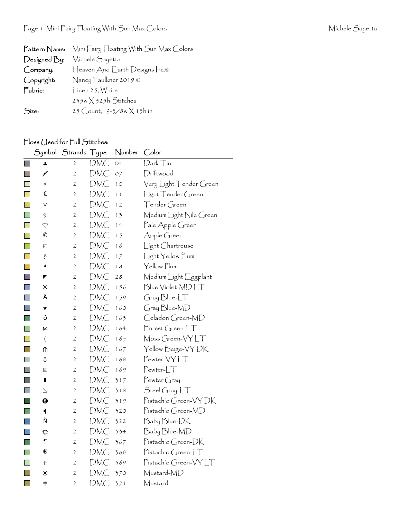|              | Pattern Name: Mini Fairy Floating With Sun Max Colors |
|--------------|-------------------------------------------------------|
| Designed By: | Michele Sayetta                                       |
| Company:     | Heaven And Earth Designs Inc.©                        |
| Copyright:   | Nancy Faulkner 2019 $\odot$                           |
| Fabric:      | Linen 25, White                                       |
|              | $235w \times 325h$ Stitches                           |
| Size:        | 25 Count, $9-3/8w \times 13h$ in                      |

## Floss Used for Full Stitches:

|             |                               | Symbol Strands Type |            | Number      | Color                   |
|-------------|-------------------------------|---------------------|------------|-------------|-------------------------|
| $\Box$      | A,                            | 2                   | DMC        | O4          | Dark Tin                |
|             | ¥                             | 2                   | DMC        | O7          | Driftwood               |
| l a l       | $\ll$                         | 2                   | DMC        | $1^{\circ}$ | Very Light Tender Green |
|             | €                             | 2                   | DMC        | 11          | Light Tender Green      |
| I.          | V                             | 2                   | DMC        | 12          | Tender Green            |
|             | 9                             | $\mathfrak{2}$      | DMC        | 13          | Medium Light Nile Green |
| n           | $\heartsuit$                  | 2                   | DMC        | 14          | Pale Apple Green        |
|             | $^\copyright$                 | 2                   | DMC        | 15          | Apple Green             |
| I.          | ⊡                             | 2                   | DMC        | 16          | Light Chartreuse        |
|             | 8                             | 2                   | <b>DMC</b> | 17          | Light Yellow Plum       |
| F           | i                             | 2                   | DMC        | 18          | Yellow Plum             |
| $\Box$      | ◤                             | 2                   | DMC        | 28          | Medium Light Eggplant   |
| <b>Tale</b> | ×                             | 2                   | DMC        | 156         | Blue Violet-MDLT        |
| H           | Ä                             | 2                   | DMC        | 159         | Gray Blue-LT            |
| $\Box$      | ★                             | 2                   | DMC        | 160         | Gray Blue-MD            |
| l.          | ð                             | 2                   | DMC        | 163         | Celadon Green-MD        |
|             | M                             | 2                   | DMC        | 164         | $F$ orest Green-LT      |
| $\Box$      | $\overline{\mathcal{L}}$      | 2                   | DMC        | 165         | Moss Green-VYLT         |
| l a         | ⋔                             | $\mathfrak{2}$      | DMC        | 167         | Yellow Beige-VY DK      |
| <b>COL</b>  | 5                             | 2                   | DMC        | 168         | Pewter-VYLT             |
|             | ▣                             | 2                   | DMC        | 169         | $Pewter-LT$             |
| <b>Side</b> | П                             | 2                   | DMC        | 317         | Pewter Gray             |
|             | ↘                             | 2                   | DMC        | 318         | $\mathsf{Stel}$ Gray-LT |
|             | ❸                             | 2                   | DMC        | 319         | Pistachio Green-VYDK    |
|             | $\blacktriangleleft$          | 2                   | DMC        | 320         | Pistachio Green-MD      |
|             | Ñ                             | 2                   | DMC        | 322         | Baby Blue-DK            |
|             | ⇔                             | 2                   | DMC        | 334         | Baby Blue-MD            |
| l a         | ¶                             | 2                   | DMC        | 367         | Pistachio Green-DK      |
|             | ®                             | 2                   | DMC        | 368         | Pistachio Green-LT      |
| F           | ⇧                             | 2                   | DMC        | 369         | Pistachio Green-VYLT    |
|             | $\boldsymbol{\circledbullet}$ | 2                   | DMC        | 370         | Mustard-MD              |
| <b>T</b>    | $\div$                        | 2                   | DMC        | 371         | Mustard                 |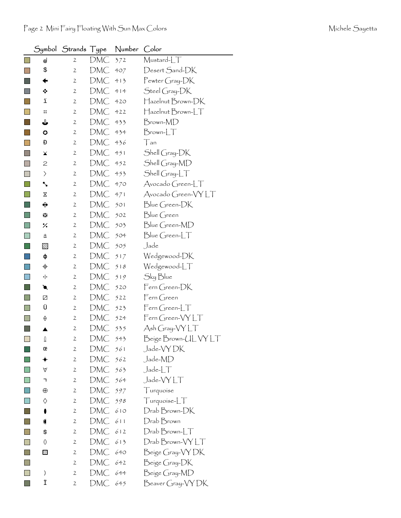|                                                                                                                       | Symbol                      | Strands Type   |     | Number | Color                  |
|-----------------------------------------------------------------------------------------------------------------------|-----------------------------|----------------|-----|--------|------------------------|
|                                                                                                                       | ⊚                           | 2              | DMC | 372    | Mustard-LT             |
|                                                                                                                       | \$                          | $\mathbf{2}$   | DMC | 407    | Desert Sand-DK         |
|                                                                                                                       | ←                           | $\mathbf{2}$   | DMC | 413    | $P$ ewter Gray- $DK$   |
|                                                                                                                       | ❖                           | $\mathbf{2}$   | DMC | 414    | Steel Gray-DK          |
|                                                                                                                       | ï                           | $\mathbf{2}$   | DMC | 420    | Hazelnut Brown-DK      |
|                                                                                                                       | $\mathbf{::}$               | $\mathbf{2}$   | DMC | 422    | Hazelnut Brown-LT      |
|                                                                                                                       | ⇓                           | $\mathbf{2}$   | DMC | 433    | Brown-MD               |
|                                                                                                                       | O                           | $\mathbf{2}$   | DMC | 434    | $Brown$ - $LT$         |
|                                                                                                                       | Đ                           | $\mathbf{2}$   | DMC | 436    | Tan                    |
|                                                                                                                       | ¥                           | $\mathbf{2}$   | DMC | 451    | Shell Gray-DK          |
|                                                                                                                       | $\mathbf{Z}$                | $\mathbf{2}$   | DMC | 452    | Shell Gray-MD          |
|                                                                                                                       | $\left. \right\rangle$      | $\mathbf{2}$   | DMC | 453    | Shell Gray-LT          |
|                                                                                                                       | ╲                           | $\mathbf{2}$   | DMC | 470    | Avocado Green-LT       |
|                                                                                                                       | Χ                           | $\mathbf{2}$   | DMC | 471    | Avocado Green-VYLT     |
|                                                                                                                       | ⊕                           | 2              | DMC | 501    | Blue Green-DK          |
|                                                                                                                       | 53                          | $\mathbf{2}$   | DMC | 502    | Blue Green             |
| $\Box$                                                                                                                | ٪                           | $\mathbf{2}$   | DMC | 503    | Blue Green-MD          |
| <b>Contract Contract Contract Contract Contract Contract Contract Contract Contract Contract Contract Contract Co</b> | t                           | 2              | DMC | 504    | Blue Green-LT          |
|                                                                                                                       | ⊠                           | $\mathbf{2}$   | DMC | 505    | Jade                   |
|                                                                                                                       | ф                           | $\mathbf{2}$   | DMC | 517    | Wedgewood-DK           |
| ×                                                                                                                     | $\color{red} \blacklozenge$ | $\mathbf{2}$   | DMC | 518    | Wedgewood-LT           |
| <b>Service Service</b>                                                                                                | ٠ŀ                          | $\mathbf{2}$   | DMC | 519    | Sky Blue               |
|                                                                                                                       | €                           | $\mathbf{2}$   | DMC | 520    | Fern Green-DK          |
|                                                                                                                       | Ø                           | 2              | DMC | 522    | Fern Green             |
|                                                                                                                       | Ü                           | $\mathbf{2}$   | DMC | 523    | Fern Green-LT          |
|                                                                                                                       | ♦                           | $\mathbf{2}$   | DMC | 524    | Fern Green-VYLT        |
|                                                                                                                       |                             | $\mathbf{2}$   | DMC | 535    | Ash Gray-VY LT         |
|                                                                                                                       | ⇕                           | 2              | DMC | 543    | Beige Brown-ULVYLT     |
|                                                                                                                       | œ                           | 2              | DMC | 561    | Jade-VYDK              |
|                                                                                                                       | ◆                           | 2              | DMC | 562    | Jade-MD                |
|                                                                                                                       | $\vee$                      | $\mathbf{2}$   | DMC | 563    | $J$ ade- $LT$          |
|                                                                                                                       | ٦                           | $\mathbf{2}$   | DMC | 564    | Jade-VY LT             |
|                                                                                                                       | $\oplus$                    | $\mathbf{2}$   | DMC | 597    | Turquoise              |
|                                                                                                                       | ♦                           | 2              | DMC | 598    | Turquoise-LT           |
|                                                                                                                       | 0                           | $\mathbf{2}$   | DMC | 610    | Drab Brown-DK          |
|                                                                                                                       |                             | 2              | DMC | 611    | Drab Brown             |
|                                                                                                                       | \$                          | $\mathbf{2}$   | DMC | 612    | $D$ rab $B$ rown- $LT$ |
|                                                                                                                       | 0                           | $\mathbf{2}$   | DMC | 613    | Drab Brown-VYLT        |
|                                                                                                                       | ▩                           | 2              | DMC | 640    | Beige Gray-VYDK        |
|                                                                                                                       |                             | $\mathfrak{2}$ | DMC | 642    | Beige Gray-DK          |
|                                                                                                                       | )                           | 2              | DMC | 644    | Beige Gray-MD          |
|                                                                                                                       | Ϊ                           | $\overline{c}$ | DMC | 645    | Beaver Gray-VY DK      |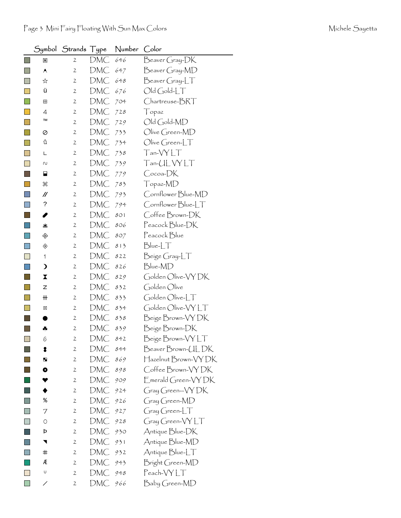|                     |                         | Symbol Strands Type |     | Number | Color                                |
|---------------------|-------------------------|---------------------|-----|--------|--------------------------------------|
| F.                  | ₩                       | $\mathbf{2}$        | DMC | 646    | Beaver Gray-DK                       |
| ×                   | ٨                       | $\mathfrak{2}$      | DMC | 647    | Beaver Gray-MD                       |
|                     | ☆                       | $\mathbf{2}$        | DMC | 648    | $\mathsf{B}$ eaver Gray-L $\top$     |
|                     | ü                       | $\mathbf{2}$        | DMC | 676    | $Old Gold-LT$                        |
|                     | ⊞                       | $\mathbf{2}$        | DMC | 704    | Chartreuse-BRT                       |
|                     | 4                       | 2                   | DMC | 728    | Topaz                                |
|                     | TM                      | $\mathbf{2}$        | DMC | 729    | Old Gold-MD                          |
|                     | ⊘                       | 2                   | DMC | 733    | Olive Green-MD                       |
|                     | û                       | $\mathbf{2}$        | DMC | 734    | $\bigcirc$ live Green-LT             |
|                     | L                       | $\mathbf{2}$        | DMC | 738    | Tan-VYLT                             |
|                     | N                       | 2                   | DMC | 739    | Tan-UL VY LT                         |
|                     | ⊟                       | 2                   | DMC | 779    | Cocoa-DK                             |
|                     | æ                       | 2                   | DMC | 783    | Topaz-MD                             |
|                     | $^{\prime\prime}$       | $\mathbf{2}$        | DMC | 793    | Cornflower Blue-MD                   |
|                     | ?                       | 2                   | DMC | 794    | Cornflower Blue-LT                   |
|                     | I                       | $\mathbf{2}$        | DMC | 801    | Coffee Brown-DK                      |
|                     | 坐                       | $\mathbf{2}$        | DMC | 806    | Peacock Blue-DK                      |
|                     | ♧                       | 2                   | DMC | 807    | Peacock Blue                         |
|                     | ◈                       | 2                   | DMC | 813    | $Blue-LT$                            |
| <b>In the State</b> | 1                       | $\mathbf{2}$        | DMC | 822    | Beige Gray-LT                        |
|                     | $\mathbf{\mathbf{z}}$   | $\mathfrak{2}$      | DMC | 826    | Blue-MD                              |
|                     | $\overline{\mathbf{X}}$ | $\mathbf{2}$        | DMC | 829    | Golden Olive-VY DK                   |
|                     | Z                       | $\mathbf{2}$        | DMC | 832    | Golden Olive                         |
|                     | ₩                       | $\mathbf{2}$        | DMC | 833    | Golden Olive-LT                      |
|                     | ⊠                       | 2                   | DMC | 834    | Golden Olive-VYLT                    |
|                     |                         | $\mathbf{2}$        | DMC | 838    | Beige Brown-VY DK                    |
|                     | ÷                       | $\mathfrak{2}$      | DMC | 839    | Beige Brown-DK                       |
|                     | 6                       | $\mathfrak{2}$      | DMC | 842    | Beige Brown-VYLT                     |
|                     | 8                       | $\mathbf{2}$        | DMC | 844    | BeaverBrown-ULDK                     |
|                     | ш                       | $\mathbf{2}$        | DMC | 869    | Hazelnut Brown-VY DK                 |
|                     | O                       | 2                   | DMC | 898    | Coffee Brown-VYDK                    |
|                     |                         | $\mathbf{2}$        | DMC | 909    | Emerald Green-VYDK                   |
|                     |                         | 2                   | DMC | 924    | Gray Green-VY DK                     |
|                     | %                       | $\mathbf{2}$        | DMC | 926    | Gray Green-MD                        |
|                     | 7                       | 2                   | DMC | 927    | $Gray Green-LT$                      |
|                     | 0                       | 2                   | DMC | 928    | $G$ ray Green- $\forall Y \bot \top$ |
|                     | Þ                       | 2                   | DMC | 930    | Antique Blue-DK                      |
|                     | ◥                       | 2                   | DMC | 931    | Antique Blue-MD                      |
|                     | ♯                       | 2                   | DMC | 932    | Antique Blue-LT                      |
|                     | Æ                       | 2                   | DMC | 943    | Bright Green-MD                      |
|                     | U                       | 2                   | DMC | 948    | Peach-VYLT                           |
|                     | ╱                       | $\overline{2}$      | DMC | 966    | Baby Green-MD                        |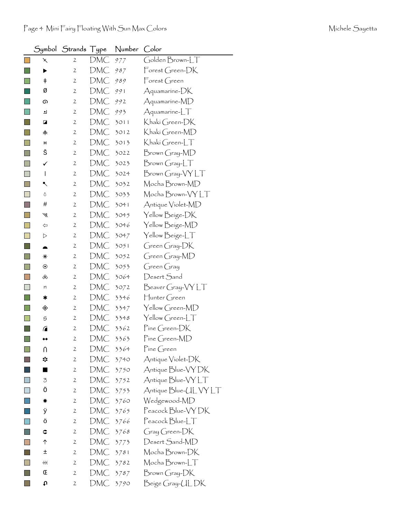|                           | Symbol       | Strands Type   |            | Number | Color                                    |
|---------------------------|--------------|----------------|------------|--------|------------------------------------------|
|                           | $\times$     | 2              | DMC        | 977    | Golden Brown-LT                          |
|                           | ▶            | $\mathfrak{2}$ | DMC        | 987    | Forest Green-DK                          |
|                           | ŧ            | 2              | DMC        | 989    | $\overline{\Gamma}$ orest Green          |
|                           | Ø            | $\mathfrak{2}$ | DMC        | 991    | Aquamarine-DK                            |
|                           | ග            | 2              | DMC        | 992    | Aquamarine-MD                            |
|                           | ┛            | $\mathbf{2}$   | DMC        | 993    | $A$ quamarine- $LT$                      |
|                           | ◪            | 2              | DMC        | 3011   | Khaki Green-DK                           |
|                           | 未            | 2              | DMC        | 3012   | Khakí Green-MD                           |
|                           | н            | 2              | DMC        | 3013   | Khakí Green-LT                           |
|                           | š            | 2              | DMC        | 3022   | Brown Gray-MD                            |
| $\Box$                    | ✓            | $\mathbf{2}$   | <b>DMC</b> | 3023   | $Brown Gray-LT$                          |
| $\Box$                    | $\mathsf{I}$ | $\mathfrak{2}$ | DMC        | 3024   | Brown Gray-VYLT                          |
|                           | ↖            | 2              | DMC        | 3032   | Mocha Brown-MD                           |
|                           | ٥            | $\mathbf{2}$   | DMC        | 3033   | Mocha Brown-VY LT                        |
| <b>Tall</b>               | #            | 2              | DMC        | 3041   | Antique Violet-MD                        |
| H                         | ₩            | 2              | DMC        | 3045   | Yellow Beige-DK                          |
| $\Box$                    | ⇦            | 2              | DMC        | 3046   | Yellow Beige-MD                          |
| $\overline{\mathbb{R}^2}$ | ▷            | $\mathbf{2}$   | DMC        | 3047   | Yellow Beige-LT                          |
| $\mathbb{R}^n$            |              | 2              | DMC        | 3051   | Green Gray-DK                            |
|                           | ⋇            | $\mathfrak{2}$ | DMC        | 3052   | Green Gray-MD                            |
|                           | $\odot$      | $\mathbf{2}$   | DMC        | 3053   | $G$ reen $G$ ray                         |
|                           | ൿ            | 2              | DMC        | 3064   | Desert Sand                              |
| $\mathbf{I}$              | n            | $\mathfrak{2}$ | DMC        | 3072   | $\mathsf{B}$ eaver Gray- $\mathsf{VYLT}$ |
|                           | ∗            | 2              | DMC        | 3346   | $\mathcal{H}$ unter Green                |
|                           | ◈            | 2              | DMC        | 3347   | Yellow Green-MD                          |
|                           | 9            | 2              | DMC        | 3348   | Yellow Green-LT                          |
|                           | ⋒            | 2              | DMC        | 3362   | Pine Green-DK                            |
| $\Box$                    |              | $\overline{c}$ | DMC        | 3363   | Pine Green-MD                            |
|                           | N            | 2              | DMC        | 3364   | Pine Green                               |
|                           | ☆            | 2              | DMC        | 3740   | Antique Violet-DK                        |
|                           |              | $\mathfrak{2}$ | DMC        | 3750   | Antique Blue-VY DK                       |
|                           | 3            | $\mathbf{2}$   | DMC        | 3752   | Antique Blue-VY LT                       |
|                           | Ö            | $\mathbf{2}$   | DMC        | 3753   | Antique Blue-UL VY LT                    |
|                           | ☀            | 2              | DMC        | 3760   | Wedgewood-MD                             |
|                           | ÿ            | 2              | DMC        | 3765   | Peacock Blue-VY DK                       |
|                           | ö            | 2              | DMC        | 3766   | Peacock Blue-LT                          |
|                           | ¢            | 2              | DMC        | 3768   | Gray Green-DK                            |
|                           | ↑            | 2              | <b>DMC</b> | 3773   | Desert Sand-MD                           |
|                           | 土            | 2              | DMC        | 3781   | Mocha Brown-DK                           |
|                           | #            | 2              | DMC        | 3782   | Mocha Brown-LT                           |
|                           | Œ            | 2              | DMC        | 3787   | Brown Gray-DK                            |
|                           | tυ           | 2              | DMC        | 3790   | Beige Gray-UL DK                         |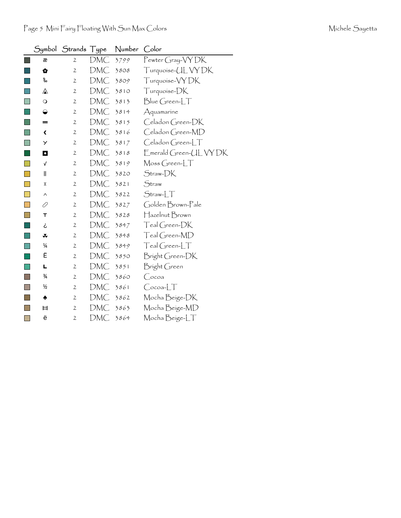|   | Symbol                  | Strands        | Type | Number | Color                    |
|---|-------------------------|----------------|------|--------|--------------------------|
|   | æ                       | $\mathfrak{2}$ | DMC  | 3799   | Pewter Gray-VYDK         |
|   | $\bullet$               | $\mathfrak{2}$ | DMC  | 3808   | Turquoise- <i>ULVYDK</i> |
|   | ಹಿ                      | 2              | DMC  | 3809   | Turquoise-VYDK           |
|   | ⚠                       | $\mathbf{2}$   | DMC  | 3810   | Turquoise-DK             |
|   | $\circ$                 | 2              | DMC  | 3813   | Blue Green-LT            |
|   | ◒                       | $\mathbf{2}$   | DMC  | 3814   | Aquamarine               |
|   | =                       | $\mathbf{2}$   | DMC  | 3815   | Celadon Green-DK         |
|   | $\overline{\mathbf{C}}$ | $\mathfrak{2}$ | DMC  | 3816   | Celadon Green-MD         |
|   | Y                       | $\mathfrak{2}$ | DMC  | 3817   | Celadon Green-LT         |
|   | $\bullet$               | $\mathfrak{2}$ | DMC  | 3818   | Emerald Green-UL VY DK   |
|   | √                       | $\mathbf{2}$   | DMC  | 3819   | Moss Green-LT            |
|   | $\mathsf{I}$            | $\mathfrak{2}$ | DMC  | 3820   | Straw-DK                 |
|   | I                       | 2              | DMC  | 3821   | Straw                    |
|   | ∧                       | 2              | DMC  | 3822   | $Straw-LT$               |
|   | 0                       | $\mathbf{2}$   | DMC  | 3827   | Golden Brown-Pale        |
|   | т                       | $\mathbf{2}$   | DMC  | 3828   | Hazelnut Brown           |
|   | ځ                       | $\mathbf{2}$   | DMC  | 3847   | Teal Green-DK            |
|   | ∓                       | 2              | DMC  | 3848   | Teal Green-MD            |
|   | ¼                       | $\mathfrak{2}$ | DMC  | 3849   | $Teal Green-LT$          |
|   | Ë                       | 2              | DMC  | 3850   | Bright Green-DK          |
|   | L                       | 2              | DMC  | 3851   | Bright Green             |
|   | $\frac{3}{4}$           | $\mathbf{2}$   | DMC  | 3860   | Cocoa                    |
|   | ½                       | 2              | DMC  | 3861   | $Cocoa-LT$               |
|   | ♠                       | $\mathbf{2}$   | DMC  | 3862   | Mocha Beige-DK           |
|   | Ħ                       | 2              | DMC  | 3863   | Mocha Beige-MD           |
| П | ë                       | $\mathfrak{2}$ | DMC  | 3864   | Mocha Beige-LT           |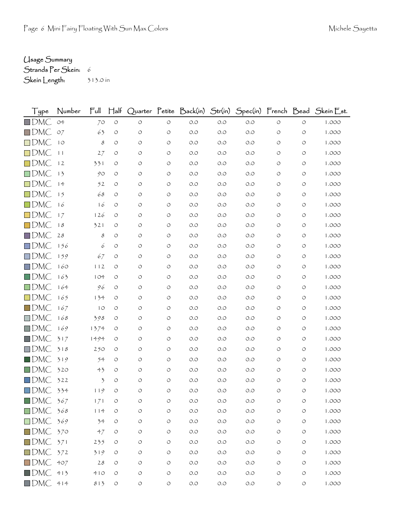## Usage Summary

Strands Per Skein: 6 Skein Length: 313.0 in

| l ype                             | Number | $\Gamma$ ull   | $\mathsf{H}^\mathsf{alt}$ | Quarter | etíte              | Dack(in) | Str(in) | Spec(in) French Bead |                    |                    | $\bigcup$ kein $\bigcup$ st. |
|-----------------------------------|--------|----------------|---------------------------|---------|--------------------|----------|---------|----------------------|--------------------|--------------------|------------------------------|
| DMC                               | $O+$   | 70             | $\circ$                   | $\circ$ | $\circ$            | $O.O$    | $O.O$   | $O.O$                | $\circ$            | $\circ$            | 1.000                        |
| DMC                               | O7     | 63             | O                         | O       | $\circ$            | O.O      | O.O     | $O.O$                | $\circ$            | $\circ$            | 1.000                        |
| DMC                               | 10     | $\mathcal S$   | O                         | $\circ$ | $\circ$            | O.O      | $O.O$   | O.O                  | O                  | $\circ$            | 1.000                        |
| DMC                               | 11     | 27             | O                         | O       | O                  | O.O      | $O.O$   | O.O                  | O                  | $\circ$            | 1.000                        |
| DMC                               | 12     | 331            | O                         | O       | O                  | O.O      | O.O     | O.O                  | O                  | O                  | 1.000                        |
| DMC                               | 13     | 90             | O                         | O       | $\circ$            | O.O      | $O.O$   | O.O                  | O                  | $\circ$            | 1.000                        |
| DMC                               | 14     | 52             | O                         | O       | $\circ$            | O.O      | $O.O$   | $O.O$                | O                  | O                  | 1.000                        |
| DMC                               | 15     | 68             | O                         | O       | $\circ$            | O.O      | $O.O$   | O.O                  | $\circ$            | $\circ$            | 1.000                        |
| DMC                               | 16     | 16             | O                         | O       | O                  | $O.O$    | $O.O$   | $O.O$                | O                  | O                  | 1.000                        |
| DMC                               | 17     | 126            | O                         | O       | $\circ$            | O.O      | O.O     | O.O                  | O                  | O                  | 1.000                        |
| DMC                               | 18     | 321            | O                         | O       | $\circ$            | O.O      | $O.O$   | O.O                  | O                  | O                  | 1.000                        |
| DMC                               | $28$   | 8              | O                         | $\circ$ | $\circ$            | O.O      | $O.O$   | $O.O$                | O                  | O                  | 1.000                        |
| DMC                               | 156    | 6              | O                         | O       | $\circ$            | O.O      | O.O     | O.O                  | $\circ$            | O                  | 1.000                        |
| DMC                               | 159    | 67             | O                         | O       | $\circ$            | O.O      | $O.O$   | O.O                  | O                  | O                  | 1.000                        |
| DMC                               | 160    | 112            | O                         | O       | $\circ$            | $O.O$    | $O.O$   | $O.O$                | O                  | O                  | 1.000                        |
| DMC                               | 163    | 104            | O                         | O       | $\circ$            | O.O      | $O.O$   | $O.O$                | O                  | O                  | 1.000                        |
| DMC                               | 164    | 96             | O                         | O       | O                  | $O.O$    | $O.O$   | $O.O$                | O                  | O                  | 1.000                        |
| DMC                               | 165    | 134            | O                         | O       | O                  | $O.O$    | $O.O$   | $O.O$                | O                  | O                  | 1.000                        |
| DMC                               | 167    | 10             | O                         | $\circ$ | $\circ$            | O.O      | $O.O$   | O.O                  | O                  | O                  | 1.000                        |
| DMC                               | 168    | 398            | O                         | O       | O                  | $O.O$    | $O.O$   | $O.O$                | O                  | O                  | 1.000                        |
| DMC                               | 169    | 1374           | O                         | O       | O                  | O.O      | $O.O$   | O.O                  | $\circ$            | O                  | 1.000                        |
| DMC                               | 317    | 1494           | O                         | $\circ$ | $\circ$            | $O.O$    | $O.O$   | O.O                  | O                  | O                  | 1.000                        |
| DMC                               | 318    | 250            | O                         | O       | $\circ$            | $O.O$    | $O.O$   | $O.O$                | O                  | O                  | 1.000                        |
| DMC                               | 319    | 54             | O                         | O       | $\circ$            | O.O      | $O.O$   | $O.O$                | O                  | O                  | 1.000                        |
| DMC                               | 320    | 43             | O                         | O       | $\circ$            | $O.O$    | $O.O$   | O.O                  | O                  | $\circ$            | 1.000                        |
| DMC                               | 322    | $\mathfrak{Z}$ | O                         | O       | O                  | O.O      | $O.O$   | $O.O$                | O                  | O                  | 1.000                        |
| DMC                               | 334    | 119            | O                         | $\circ$ | $\circ$            | O.O      | O.O     | O.O                  | $\circ$            | O                  | 1.000                        |
| ∎DMC                              | 367    | 171            | O                         | O       | O                  | O.O      | O.O     | O.O                  | O                  | O                  | 1.000                        |
| $\Box$ DMC 368                    |        | 114            | $\circ$                   | $\circ$ | $\circlearrowleft$ | $O.O$    | $O.O$   | $O.O$                | $\circlearrowleft$ | $\circ$            | 1.000                        |
| DMC                               | 369    | 34             | $\circlearrowleft$        | $\circ$ | $\circ$            | $O.O$    | $O.O$   | $O.O$                | $\circlearrowleft$ | $\circlearrowleft$ | 1.000                        |
| $\blacksquare$ DMC 370            |        | 47             | O                         | $\circ$ | $\circlearrowleft$ | $O.O$    | $O.O$   | $O.O$                | O                  | O                  | 1.000                        |
| $\Box$ DMC 371                    |        | 235            | O                         | O       | O                  | $O.O$    | O.O     | $O.O$                | O                  | O                  | 1.000                        |
| $\Box$ DMC                        | 372    | 319            | $\bigcirc$                | $\circ$ | $\circ$            | $O.O$    | O.O     | $O.O$                | $\circ$            | O                  | 1.000                        |
| DMC                               | 407    | $28$           | $\bigcirc$                | $\circ$ | $\circ$            | $O.O$    | $O.O$   | $O.O$                | O                  | O                  | 1.000                        |
| $\blacksquare$ dmC $\blacksquare$ | 413    | 410            | O                         | $\circ$ | $\circ$            | $O.O$    | $O.O$   | $O.O$                | O                  | O                  | 1.000                        |
| DMC 414                           |        | 813            | $\bigcirc$                | $\circ$ | $\circlearrowleft$ | $O.O$    | $O.O$   | $O.O$                | $\circ$            | O                  | 1.000                        |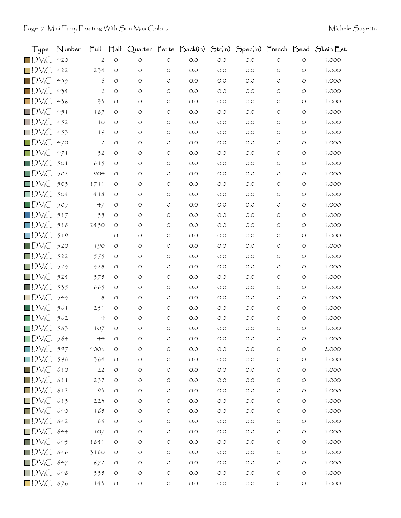| Type                   | Number | $\mathsf{Full}$ | $H$ alf |            |                    | Quarter Petite Back(in) Str(in) |       |       |                    |                    | Spec(in) French Bead Skein Est. |
|------------------------|--------|-----------------|---------|------------|--------------------|---------------------------------|-------|-------|--------------------|--------------------|---------------------------------|
| $\square$ DMC          | 420    | $\mathbf{2}$    | $\circ$ | $\circ$    | $\circ$            | $O.O$                           | $O.O$ | $O.O$ | $\circ$            | $\bigcirc$         | 1.000                           |
| $\Box$ DMC             | 422    | 234             | O       | $\circ$    | $\circ$            | O.O                             | O.O   | O.O   | O                  | $\circ$            | 1.000                           |
| $\blacksquare$ DMC     | 433    | 6               | O       | O          | O                  | O.O                             | O.O   | O.O   | $\circ$            | $\circ$            | 1.000                           |
| $\blacksquare$ DMC     | 434    | $\mathfrak{2}$  | O       | O          | O                  | O.O                             | O.O   | O.O   | O                  | $\circ$            | 1.000                           |
| $\Box$ DMC             | 436    | 33              | O       | O          | $\circ$            | O.O                             | O.O   | O.O   | O                  | O                  | 1.000                           |
| $\Box$ DMC             | 451    | 187             | O       | O          | O                  | O.O                             | O.O   | O.O   | O                  | O                  | 1.000                           |
| $\Box$ DMC             | 452    | 10              | O       | O          | O                  | O.O                             | O.O   | O.O   | O                  | O                  | 1.000                           |
| $\Box$ DMC             | 453    | 19              | O       | O          | O                  | O.O                             | O.O   | O.O   | O                  | O                  | 1.000                           |
| $\Box$ DMC             | 470    | $\mathfrak{2}$  | O       | O          | $\circ$            | O.O                             | O.O   | O.O   | O                  | O                  | 1.000                           |
| $\Box$ DMC             | 471    | 32              | O       | O          | O                  | O.O                             | O.O   | O.O   | O                  | O                  | 1.000                           |
| $\square$ DMC          | 501    | 615             | O       | O          | $\circ$            | O.O                             | O.O   | O.O   | O                  | O                  | 1.000                           |
| $\Box$ DMC             | 502    | 904             | O       | O          | $\circ$            | O.O                             | O.O   | O.O   | O                  | O                  | 1.000                           |
| $\Box$ DMC             | 503    | 1711            | O       | O          | O                  | O.O                             | O.O   | O.O   | O                  | O                  | 1.000                           |
| $\Box$ DMC             | 504    | 418             | O       | O          | O                  | O.O                             | O.O   | O.O   | O                  | O                  | 1.000                           |
| $\square$ DMC          | 505    | 47              | O       | O          | O                  | O.O                             | O.O   | O.O   | O                  | O                  | 1.000                           |
| $\Box$ DMC             | 517    | 35              | O       | O          | O                  | O.O                             | O.O   | O.O   | O                  | O                  | 1.000                           |
| $\Box$ DMC             | 518    | 2430            | O       | O          | $\circ$            | O.O                             | O.O   | O.O   | O                  | O                  | 1.000                           |
| $\square$ DMC          | 519    | $\mathbf{1}$    | O       | O          | O                  | O.O                             | O.O   | O.O   | O                  | $\circ$            | 1.000                           |
| $\square$ DMC          | 520    | 190             | O       | O          | $\circ$            | O.O                             | O.O   | O.O   | O                  | O                  | 1.000                           |
| $\Box$ DMC             | 522    | 575             | O       | O          | O                  | O.O                             | O.O   | O.O   | O                  | O                  | 1.000                           |
| $\Box$ DMC             | 523    | 328             | O       | O          | $\circ$            | O.O                             | O.O   | O.O   | O                  | O                  | 1.000                           |
| $\square$ DMC          | 524    | 378             | O       | O          | O                  | O.O                             | O.O   | O.O   | O                  | O                  | 1.000                           |
| $\blacksquare$ DMC     | 535    | 665             | O       | O          | O                  | O.O                             | O.O   | O.O   | O                  | O                  | 1.000                           |
| $\square$ DMC          | 543    | 8               | O       | O          | O                  | O.O                             | O.O   | O.O   | O                  | O                  | 1.000                           |
| $\Box$ DMC             | 561    | 251             | O       | O          | $\circ$            | O.O                             | O.O   | O.O   | O                  | O                  | 1.000                           |
| $\Box$ DMC             | 562    | $\ddot{\tau}$   | O       | O          | O                  | O.O                             | O.O   | O.O   | O                  | O                  | 1.000                           |
| $\square$ DMC          | 563    | 107             | O       | O          | $\circ$            | O.O                             | O.O   | O.O   | O                  | O                  | 1.000                           |
| $\square$ DMC          | 564    | $4-4$           |         |            | O                  | O.O                             | $O.O$ | O.O   |                    | O                  | 1.000                           |
| $\Box$ DMC 597         |        | 4006            | O       | $\circ$    | $\circ$            | O.O                             | O.O   | O.O   | O                  | O                  | 2.000                           |
| $\square$ DMC          | 598    | 364             | O       | O          | $\circ$            | $O.O$                           | $O.O$ | $O.O$ | O                  | O                  | 1.000                           |
| $\blacksquare$ DMC     | 610    | 22              | $\circ$ | O          | $\circ$            | $O.O$                           | $O.O$ | O.O   | O                  | O                  | 1.000                           |
| $\square$ DMC          | 611    | 237             | O       | O          | $\circ$            | $O.O$                           | $O.O$ | $O.O$ | O                  | O                  | 1.000                           |
| $\square$ DMC          | 612    | 93              | O       | $\circ$    | $\circ$            | $O.O$                           | $O.O$ | $O.O$ | O                  | $\circ$            | 1.000                           |
| $\square$ DMC          | 613    | 223             | O       | O          | $\circ$            | $O.O$                           | $O.O$ | O.O   | O                  | O                  | 1.000                           |
| $\blacksquare$ DMC 640 |        | 168             | O       | O          | $\circ$            | $O.O$                           | $O.O$ | $O.O$ | O                  | O                  | 1.000                           |
| $\Box$ DMC             | 642    | 86              | $\circ$ | O          | $\circ$            | $O.O$                           | O.O   | $O.O$ | $\circ$            | $\circ$            | 1.000                           |
| $\square$ DMC          | 644    | 107             | O       | O          | $\circ$            | $O.O$                           | $O.O$ | O.O   | O                  | $\circ$            | 1.000                           |
| $\square$ DMC          | 645    | 1841            | O       | O          | $\circ$            | $O.O$                           | $O.O$ | $O.O$ | O                  | O                  | 1.000                           |
| $\Box$ DMC             | 646    | 3180            | O       | O          | $\circ$            | $O.O$                           | $O.O$ | $O.O$ | O                  | $\circ$            | 1.000                           |
| $\square$ DMC          | 647    | 672             | O       | O          | $\circ$            | $O.O$                           | O.O   | $O.O$ | O                  | O                  | 1.000                           |
| $\Box$ DMC 648         |        | 338             | $\circ$ | O          | $\circ$            | $O.O$                           | $O.O$ | $O.O$ | O                  | O                  | 1.000                           |
| $\square$ DMC          | 676    | 143             | O       | $\bigcirc$ | $\circlearrowleft$ | $O.O$                           | $O.O$ | $O.O$ | $\circlearrowleft$ | $\circlearrowleft$ | 1.000                           |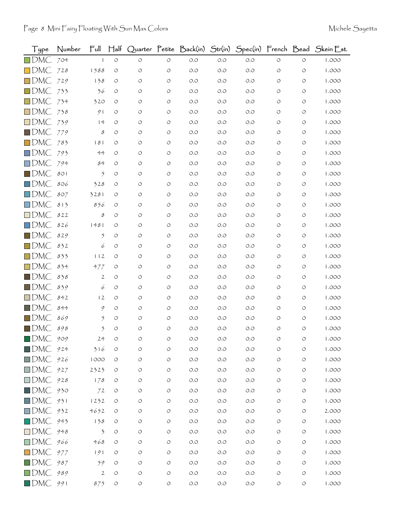| Type                   | Number | Ful            | $H$ alf    |         |                    | Quarter Petite Back(in) Str(in) |       |       |                    |                    | Spec(in) French Bead Skein Est. |
|------------------------|--------|----------------|------------|---------|--------------------|---------------------------------|-------|-------|--------------------|--------------------|---------------------------------|
| $\square$ DMC          | 704    | $\mathbf{1}$   | $\bigcirc$ | $\circ$ | $\circ$            | $O.O$                           | O.O   | $O.O$ | $\circlearrowleft$ | $\bigcirc$         | 1.000                           |
| $\square$ DMC          | 728    | 1588           | O          | $\circ$ | $\circ$            | O.O                             | O.O   | O.O   | $\circ$            | $\circ$            | 1.000                           |
| $\square$ DMC          | 729    | 138            | O          | O       | O                  | O.O                             | O.O   | O.O   | O                  | O                  | 1.000                           |
| $\Box$ DMC             | 733    | 36             | O          | O       | $\circ$            | O.O                             | 0.0   | O.O   | O                  | O                  | 1.000                           |
| $\square$ DMC          | 734    | 320            | O          | O       | $\circ$            | O.O                             | 0.0   | O.O   | O                  | O                  | 1.000                           |
| $\square$ DMC          | 738    | 91             | O          | O       | O                  | O.O                             | O.O   | O.O   | O                  | O                  | 1.000                           |
| $\square$ DMC          | 739    | 14             | O          | O       | O                  | O.O                             | 0.0   | O.O   | Ο                  | O                  | 1.000                           |
| $\blacksquare$ DMC     | 779    | 8              | $\circ$    | O       | O                  | O.O                             | O.O   | O.O   | O                  | O                  | 1.000                           |
| $\square$ DMC          | 783    | 181            | O          | O       | $\circ$            | O.O                             | O.O   | O.O   | O                  | O                  | 1.000                           |
| $\Box$ DMC             | 793    | $4-4$          | O          | O       | O                  | O.O                             | 0.0   | O.O   | O                  | O                  | 1.000                           |
| $\square$ DMC          | 794    | 84             | O          | O       | O                  | O.O                             | 0.0   | O.O   | O                  | O                  | 1.000                           |
| $\square$ DMC          | 801    | 5              | O          | O       | $\circ$            | O.O                             | O.O   | O.O   | $\circ$            | $\circ$            | 1.000                           |
| $\square$ DMC          | 806    | 328            | O          | O       | O                  | O.O                             | O.O   | O.O   | O                  | O                  | 1.000                           |
| $\square$ DMC          | 807    | 3281           | O          | O       | $\circ$            | O.O                             | O.O   | O.O   | O                  | O                  | 1.000                           |
| $\Box$ DMC             | 813    | 856            | O          | O       | O                  | O.O                             | O.O   | O.O   | O                  | O                  | 1.000                           |
| $\square$ DMC          | 822    | 8              | O          | O       | O                  | O.O                             | 0.0   | O.O   | O                  | $\circ$            | 1.000                           |
| $\Box$ DMC             | 826    | 1481           | O          | O       | $\circ$            | O.O                             | O.O   | O.O   | O                  | O                  | 1.000                           |
| $\blacksquare$ DMC     | 829    | $\mathfrak{H}$ | O          | O       | O                  | O.O                             | 0.0   | O.O   | O                  | O                  | 1.000                           |
| $\square$ DMC          | 832    | 6              | $\circ$    | O       | O                  | O.O                             | 0.0   | O.O   | O                  | $\circ$            | 1.000                           |
| $\Box$ DMC             | 833    | 112            | O          | O       | $\circ$            | O.O                             | 0.0   | O.O   | O                  | O                  | 1.000                           |
| $\square$ DMC          | 834    | 477            | O          | O       | O                  | O.O                             | 0.0   | O.O   | O                  | O                  | 1.000                           |
| $\blacksquare$ DMC     | 838    | $\mathbf{2}$   | O          | O       | O                  | O.O                             | 0.0   | O.O   | O                  | O                  | 1.000                           |
| $\blacksquare$ DMC     | 839    | 6              | O          | O       | $\circ$            | O.O                             | 0.0   | O.O   | O                  | O                  | 1.000                           |
| $\Box$ DMC             | 842    | 12             | O          | O       | O                  | O.O                             | 0.0   | O.O   | O                  | O                  | 1.000                           |
| $\blacksquare$ DMC.    | 844    | 9              | O          | O       | O                  | O.O                             | O.O   | O.O   | O                  | O                  | 1.000                           |
| $\Box$ DMC             | 869    | $\tilde{2}$    | O          | O       | O                  | O.O                             | 0.0   | O.O   | O                  | O                  | 1.000                           |
| $\blacksquare$ DMC     | 898    | $\tilde{2}$    | O          | O       | O                  | O.O                             | 0.0   | O.O   | O                  | $\circ$            | 1.000                           |
| $\blacksquare$ DMC     | 909    | 24             |            | O       | O                  | O.O                             | O.O   | O.O   |                    | O                  | 1.000                           |
| $\blacksquare$ DMC 924 |        | 316            | O          | O       | $\circ$            | O.O                             | 0.0   | O.O   | $\circ$            | $\circ$            | 1.000                           |
| $\square$ DMC          | 926    | 1000           | O          | O       | $\circ$            | $O.O$                           | $O.O$ | $O.O$ | O                  | $\circ$            | 1.000                           |
| $\square$ DMC          | 927    | 2323           | O          | O       | $\circ$            | $O.O$                           | $O.O$ | O.O   | O                  | O                  | 1.000                           |
| $\square$ DMC          | 928    | 178            | O          | O       | $\circlearrowleft$ | O.O                             | O.O   | O.O   | $\circ$            | O                  | 1.000                           |
| $\square$ DMC          | 930    | 72             | O          | O       | $\circ$            | O.O                             | $O.O$ | $O.O$ | O                  | O                  | 1.000                           |
| $\square$ DMC          | 931    | 1232           | $\circ$    | O       | $\circ$            | $O.O$                           | O.O   | O.O   | O                  | O                  | 1.000                           |
| $\square$ DMC          | 932    | 4652           | $\circ$    | O       | $\circ$            | $O.O$                           | $O.O$ | $O.O$ | O                  | O                  | 2.000                           |
| $\Box$ DMC             | 943    | 138            | O          | O       | $\circ$            | O.O                             | O.O   | $O.O$ | O                  | O                  | 1.000                           |
| $\square$ DMC          | 948    | 3              | O          | O       | $\circlearrowleft$ | $O.O$                           | $O.O$ | O.O   | O                  | O                  | 1.000                           |
| $\square$ DMC          | 966    | 468            | O          | O       | O                  | $O.O$                           | O.O   | $O.O$ | O                  | O                  | 1.000                           |
| $\Box$ DMC             | 977    | 191            | O          | O       | $\circ$            | $O.O$                           | $O.O$ | $O.O$ | O                  | $\circ$            | 1.000                           |
| $\blacksquare$ DMC     | 987    | 59             | O          | O       | $\circ$            | O.O                             | O.O   | $O.O$ | O                  | O                  | 1.000                           |
| $\square$ DMC          | 989    | $\mathbf{2}$   | $\circ$    | O       | $\circ$            | $O.O$                           | $O.O$ | O.O   | O                  | $\circ$            | 1.000                           |
| $\blacksquare$ DMC     | 991    | 875            | $\bigcirc$ | $\circ$ | $\circlearrowleft$ | O.O                             | O.O   | $O.O$ | $\circlearrowleft$ | $\circlearrowleft$ | 1.000                           |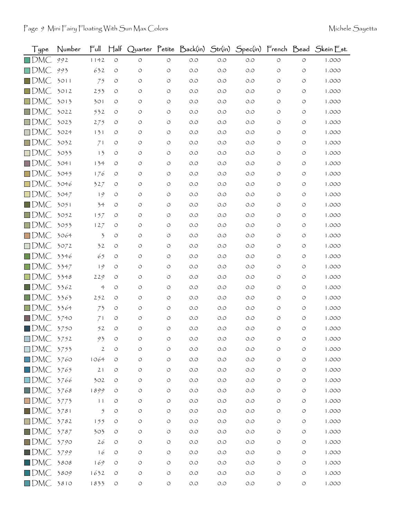| Type               | Number | $\mathsf{Full}$      | $\mathsf{H\!}\mathrm{aff}$ |                    |                    |       |       |       |                    |                    | Quarter Petite Back(in) Str(in) Spec(in) French Bead Skein Est. |
|--------------------|--------|----------------------|----------------------------|--------------------|--------------------|-------|-------|-------|--------------------|--------------------|-----------------------------------------------------------------|
| $\square$ DMC      | 992    | 1142                 | $\bigcirc$                 | $\circ$            | $\circ$            | $O.O$ | O.O   | $O.O$ | $\circlearrowleft$ | $\circlearrowleft$ | 1.000                                                           |
| $\square$ DMC      | 993    | 632                  | O                          | O                  | $\circ$            | O.O   | O.O   | O.O   | O                  | $\circ$            | 1.000                                                           |
| $\Box$ DMC         | 3011   | 75                   | O                          | O                  | O                  | O.O   | O.O   | O.O   | O                  | O                  | 1.000                                                           |
| $\square$ DMC      | 3012   | 253                  | O                          | O                  | O                  | O.O   | O.O   | O.O   | O                  | O                  | 1.000                                                           |
| $\square$ DMC      | 3013   | 301                  | $\circ$                    | O                  | O                  | O.O   | O.O   | O.O   | O                  | O                  | 1.000                                                           |
| $\square$ DMC      | 3022   | 532                  | O                          | O                  | $\circ$            | O.O   | O.O   | O.O   | O                  | O                  | 1.000                                                           |
| $\square$ DMC      | 3023   | 275                  | O                          | O                  | O                  | O.O   | O.O   | O.O   | O                  | O                  | 1.000                                                           |
| $\square$ DMC      | 3024   | 131                  | $\circ$                    | O                  | O                  | O.O   | O.O   | O.O   | O                  | O                  | 1.000                                                           |
| $\Box$ DMC         | 3032   | 71                   | O                          | O                  | $\circ$            | O.O   | O.O   | O.O   | O                  | O                  | 1.000                                                           |
| $\Box$ DMC         | 3033   | 13                   | O                          | O                  | O                  | O.O   | O.O   | O.O   | O                  | O                  | 1.000                                                           |
| $\Box$ DMC         | 3041   | 134                  | O                          | O                  | O                  | O.O   | O.O   | O.O   | O                  | O                  | 1.000                                                           |
| $\Box$ DMC         | 3045   | 176                  | O                          | O                  | $\circ$            | O.O   | O.O   | O.O   | O                  | O                  | 1.000                                                           |
| $\Box$ DMC         | 3046   | 327                  | O                          | $\circ$            | O                  | O.O   | O.O   | O.O   | O                  | O                  | 1.000                                                           |
| $\Box$ DMC         | 3047   | 19                   | O                          | O                  | $\circ$            | O.O   | O.O   | O.O   | O                  | O                  | 1.000                                                           |
| $\square$ DMC      | 3051   | 34                   | O                          | O                  | O                  | O.O   | O.O   | O.O   | O                  | O                  | 1.000                                                           |
| $\square$ DMC      | 3052   | 157                  | O                          | O                  | O                  | O.O   | O.O   | O.O   | O                  | $\circ$            | 1.000                                                           |
| $\Box$ DMC         | 3053   | 127                  | O                          | O                  | $\circ$            | O.O   | O.O   | O.O   | O                  | O                  | 1.000                                                           |
| $\square$ DMC      | 3064   | 3                    | O                          | O                  | O                  | O.O   | O.O   | O.O   | O                  | O                  | 1.000                                                           |
| $\square$ DMC      | 3072   | 32                   | O                          | O                  | O                  | O.O   | O.O   | O.O   | O                  | O                  | 1.000                                                           |
| $\Box$ DMC         | 3346   | 65                   | $\circ$                    | $\circ$            | O                  | $O.O$ | O.O   | O.O   | O                  | O                  | 1.000                                                           |
| $\square$ DMC      | 3347   | 19                   | O                          | O                  | O                  | O.O   | O.O   | O.O   | O                  | O                  | 1.000                                                           |
| $\Box$ DMC         | 3348   | 229                  | $\circ$                    | O                  | O                  | $O.O$ | O.O   | O.O   | O                  | O                  | 1.000                                                           |
| $\blacksquare$ DMC | 3362   | $\ddot{\mathcal{L}}$ | $\circ$                    | O                  | O                  | O.O   | O.O   | O.O   | O                  | O                  | 1.000                                                           |
| $\square$ DMC      | 3363   | 252                  | $\circ$                    | O                  | O                  | $O.O$ | O.O   | O.O   | O                  | O                  | 1.000                                                           |
| $\Box$ DMC         | 3364   | 73                   | O                          | O                  | O                  | O.O   | O.O   | O.O   | O                  | O                  | 1.000                                                           |
| $\Box$ DMC         | 3740   | 71                   | O                          | $\circ$            | O                  | $O.O$ | O.O   | O.O   | O                  | O                  | 1.000                                                           |
| $\blacksquare$ DMC | 3750   | 52                   | $\circ$                    | $\circ$            | $\circ$            | $O.O$ | O.O   | O.O   | O                  | O                  | 1.000                                                           |
| $\Box$ DMC         | 3752   | 93                   | O                          | O                  | O                  | O.O   | O.O   | O.O   | O                  | O                  | 1.000                                                           |
| $\square$ DMC      | 3753   | $\mathfrak{2}$       | O                          | $\circ$            | $\circ$            | O.O   | O.O   | O.O   | O                  | $\circ$            | 1.000                                                           |
| $\square$ DMC      | 3760   | 1064                 | $\circ$                    | $\circ$            | $\circ$            | $O.O$ | $O.O$ | $O.O$ | O                  | $\circ$            | 1.000                                                           |
| $\square$ DMC      | 3765   | 21                   | O                          | O                  | $\circ$            | O.O   | O.O   | O.O   | O                  | O                  | 1.000                                                           |
| $\square$ DMC      | 3766   | 302                  | O                          | O                  | $\circ$            | $O.O$ | $O.O$ | $O.O$ | O                  | $\circ$            | 1.000                                                           |
| $\square$ DMC      | 3768   | 1899                 | O                          | $\circ$            | $\circ$            | O.O   | O.O   | O.O   | O                  | $\circ$            | 1.000                                                           |
| $\square$ DMC      | 3773   | 11                   | O                          | $\circ$            | $\circ$            | $O.O$ | O.O   | $O.O$ | O                  | O                  | 1.000                                                           |
| $\blacksquare$ DMC | 3781   | $\mathfrak{H}$       | O                          | O                  | $\circ$            | O.O   | $O.O$ | $O.O$ | O                  | O                  | 1.000                                                           |
| $\Box$ DMC         | 3782   | 155                  | O                          | O                  | $\circ$            | O.O   | O.O   | $O.O$ | O                  | $\circ$            | 1.000                                                           |
| $\blacksquare$ DMC | 3787   | 303                  | O                          | $\circ$            | $\circ$            | $O.O$ | $O.O$ | $O.O$ | O                  | O                  | 1.000                                                           |
| $\square$ DMC      | 3790   | 26                   | $\circ$                    | O                  | $\circ$            | O.O   | $O.O$ | $O.O$ | O                  | O                  | 1.000                                                           |
| $\blacksquare$ DMC | 3799   | 16                   | O                          | $\circ$            | $\circ$            | O.O   | $O.O$ | O.O   | O                  | $\circ$            | 1.000                                                           |
| $\blacksquare$ DMC | 3808   | 169                  | O                          | $\circ$            | $\circ$            | $O.O$ | $O.O$ | $O.O$ | O                  | O                  | 1.000                                                           |
| $\Box$ DMC         | 3809   | 1632                 | $\circ$                    | $\circ$            | $\circ$            | $O.O$ | $O.O$ | $O.O$ | O                  | $\circ$            | 1.000                                                           |
| $\Box$ DMC         | 3810   | 1833                 | $\bigcirc$                 | $\circlearrowleft$ | $\circlearrowleft$ | O.O   | $O.O$ | O.O   | $\bigcirc$         | $\circlearrowleft$ | 1.000                                                           |